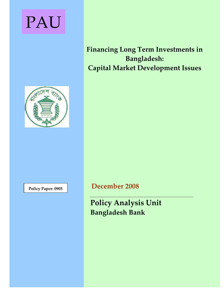# PAU

# **Financing Long Term Investments in Bangladesh:ȱȱ Capital Market Development Issues**



**Policy Paper: <sup>0905</sup> December 2008**

**Policy Analysis Unit Bangladesh Bank**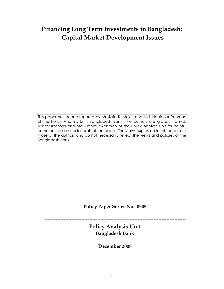# **Financing Long Term Investments in Bangladesh: Capital Market Development Issues**

This paper has been prepared by Mustafa K. Mujeri and Md. Habibour Rahman of the Policy Analysis Unit, Bangladesh Bank. The authors are grateful to Md. Akhtaruzzaman and Md. Habibur Rahman of the Policy Analysis Unit for helpful comments on an earlier draft of the paper. The views expressed in this paper are those of the authors and do not necessarily reflect the views and policies of the Bangladesh Bank.

**Policy Paper Series No.ȱȱ0905**

**ȬȬȬȬȬȬȬȬȬȬȬȬȬȬȬȬȬȬȬȬȬȬȬȬȬȬȬȬȬȬȬȬȬȬȬȬȬȬȬȬȬȬȬȬȬȬȬȬȬȬȬȬȬȬȬȬȬȬȬȬȬȬȬȬȬȬȬȬȬȬȬȬȬȬȬȬȬȬȬȬȬȬȬȬȬȬȬȬȱ**

**Policy Analysis Unit Bangladesh Bank**

**December 2008**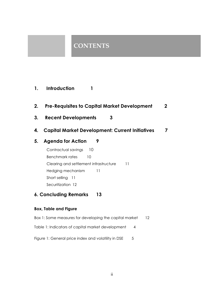## **CONTENTS**

- **1. Introduction 1**
- **2. Pre-Requisites to Capital Market Development 2**
- **3. Recent Developments 3**
- **4. Capital Market Development: Current Initiatives 7**

## **5. Agenda for Action 9**

Contractual savings 10 Benchmark rates 10 Clearing and settlement infrastructure 11 Hedging mechanism 11 Short selling 11 Securitization 12

## **6. Concluding Remarks 13**

### **Box, Table and Figure**

- Box 1: Some measures for developing the capital market 12 Table 1: Indicators of capital market development 4
- Figure 1: General price index and volatility in DSE 5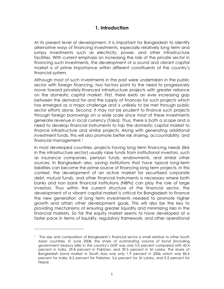## **1. Introduction**

At its present level of development, it is important for Bangladesh to identify alternative ways of financing investments, especially relatively long term and lumpy investments such as electricity, power, and other infrastructure facilities. With current emphasis on increasing the role of the private sector in financing such investments, the development of a sound and vibrant capital market is of prime importance within different constituents of the country's financial system.

Although most of such investments in the past were undertaken in the public sector with foreign financing, two factors point to the need to progressively move toward privately-financed infrastructure projects with greater reliance on the domestic capital market. *First,* there exists an ever increasing gap between the demand for and the supply of finances for such projects which has emerged as a major challenge and is unlikely to be met through public sector efforts alone. *Second,* it may not be prudent to finance such projects through foreign borrowings on a wide scale since most of these investments generate revenue in local currency (Taka). Thus, there is both a scope and a need to develop financial instruments to tap the domestic capital market to finance infrastructure and similar projects. Along with generating additional investment funds, this will also promote better risk sharing, accountability, and financial management.1

In most developed countries, projects having long term financing needs (like in the infrastructure sector) usually raise funds from institutional investors, such as insurance companies, pension funds, endowments, and similar other sources. In Bangladesh also, saving institutions that have typical long-term liabilities can become the prime source of financing long term projects. In this context, the development of an active market for securitized corporate debt, mutual funds, and other financial instruments is necessary where both banks and non bank financial institutions (NBFIs) can play the role of large investors. Thus within the current structure of the financial sector, the development of a vibrant capital market is critical for Bangladesh to finance the new generation of long term investments needed to promote higher growth and attain other development goals. This will also be the key to providing mechanisms of ensuring greater liquidity and minimizing risks in the financial markets. So far the equity market seems to have developed at a faster pace in terms of liquidity, regulatory framework, and other operational

<sup>&</sup>lt;sup>1</sup> The size and composition of Bangladesh's financial sector is small relative to other South Asian countries. In June 2008, the share of outstanding volume of bond (including government treasury bills) in the country's GDP was only 5.5 percent compared with 43.4 percent in India, 29.8 percent in Pakistan, and 39.5 percent in Sri Lanka. The share of Bangladesh bond market in South Asia was only 1.9 percent in 2006 which was 85.6 percent for India, 8.5 percent for Pakistan, 3.6 percent for Sri Lanka, and 0.3 percent for Nepal.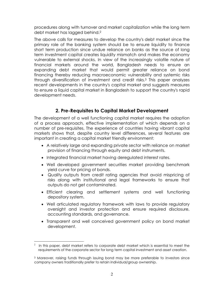procedures along with turnover and market capitalization while the long term debt market has lagged behind.2

The above calls for measures to develop the country's debt market since the primary role of the banking system should be to ensure liquidity to finance short term production since undue reliance on banks as the source of long term investment capital creates liquidity mismatch and makes the economy vulnerable to external shocks. In view of the increasingly volatile nature of financial markets around the world, Bangladesh needs to ensure an expanding debt market that would permit greater reliance on bond financing thereby reducing macroeconomic vulnerability and systemic risks through diversification of investment and credit risks.3 This paper analyzes recent developments in the country's capital market and suggests measures to ensure a liquid capital market in Bangladesh to support the country's rapid development needs.

## **2. Pre-Requisites to Capital Market Development**

The development of a well functioning capital market requires the adoption of a process approach, effective implementation of which depends on a number of pre-requisites. The experience of countries having vibrant capital markets shows that, despite country level differences, several features are important in creating a capital market friendly environment:

- A relatively large and expanding private sector with reliance on market provision of financing through equity and debt instruments.
- Integrated financial market having deregulated interest rates.
- Well developed government securities market providing benchmark yield curve for pricing of bonds.
- Quality outputs from credit rating agencies that avoid mispricing of risks along with institutional and legal frameworks to ensure that outputs do not get contaminated.
- Efficient clearing and settlement systems and well functioning depository system.
- Well articulated regulatory framework with laws to provide regulatory oversight and investor protection and ensure required disclosure, accounting standards, and governance.
- Transparent and well conceived government policy on bond market development.

<sup>2</sup> In this paper, debt market refers to corporate debt market which is essential to meet the requirements of the corporate sector for long term capital investment and asset creation.

<sup>3</sup> Moreover, raising funds through issuing bond may be more preferable to investors since company owners traditionally prefer to retain individual/group ownership.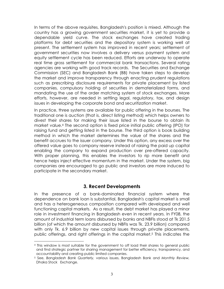In terms of the above requisites, Bangladesh's position is mixed. Although the country has a growing government securities market, it is yet to provide a dependable yield curve. The stock exchanges have created trading platforms for debt securities and the depository system is working well at present. The settlement system has improved in recent years; settlement of government securities now involves a delivery versus payment system and equity settlement cycle has been reduced. Efforts are underway to operate real time gross settlement for commercial bank transactions. Several rating agencies are working with good track records. The Securities and Exchange Commission (SEC) and Bangladesh Bank (BB) have taken steps to develop the market and improve transparency through enacting prudent regulations such as prescribing disclosure requirements for private placement by listed companies, compulsory holding of securities in dematerialized forms, and mandating the use of the order matching system of stock exchanges. More efforts, however, are needed in settling legal, regulatory, tax, and design issues in developing the corporate bond and securitization market.

In practice, three systems are available for public offering in the bourses. The traditional one is auction (that is, direct listing method) which helps owners to divest their shares for making their issue listed in the bourse to obtain its market value.4 The second option is fixed price initial public offering (IPO) for raising fund and getting listed in the bourse. The third option is book building method in which the market determines the value of the shares and the benefit accrues to the issuer company. Under this option, any excess over the offered value goes to company reserve instead of raising the paid up capital enabling the company to expand production over pre-offered capacity. With proper planning, this enables the investors to rip more benefit and hence helps inject effective momentum in the market. Under the system, big companies are encouraged to go public and investors are more induced to participate in the secondary market.

## **3. Recent Developments**

In the presence of a bank-dominated financial system where the dependence on bank loan is substantial, Bangladesh's capital market is small and has a heterogeneous composition compared with developed and well functioning capital markets. As a result, the debt market has played a minor role in investment financing in Bangladesh even in recent years. In FY08, the amount of industrial term loans disbursed by banks and NBFIs stood at Tk 201.5 billion (of which the amount disbursed by NBFIs was Tk. 23.9 billion) compared with only Tk. 6.9 billion by new capital issues through private placements, public offerings, and right offerings in the capital market.5 This indicates the

<sup>4</sup> This window is most suitable for the government to off load their shares to general public and find strategic partner for sharing management for better efficiency, transparency, and accountability and creating public limited companies.

<sup>5</sup> See, *Bangladesh Bank Quarterly,* various issues, Bangladesh Bank and *Monthly Review,*  Dhaka Stock Exchange.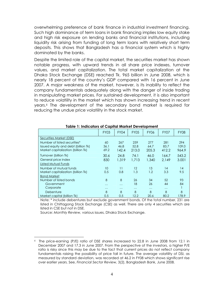overwhelming preference of bank finance in industrial investment financing. Such high dominance of term loans in bank financing implies low equity stake and high risk exposure on lending banks and financial institutions, including liquidity risk arising from funding of long term loans with relatively short term deposits. This shows that Bangladesh has a financial system which is highly dominated by the banks.

Despite the limited role of the capital market, the securities market has shown notable progress, with upward trends in all share price indexes, turnover values, and market capitalization. The total market capitalization at the Dhaka Stock Exchange (DSE) reached Tk. 965 billion in June 2008, which is nearly 18 percent of the country's GDP compared with 16 percent in June 2007. A major weakness of the market, however, is its inability to reflect the company fundamentals adequately along with the danger of inside trading in manipulating market prices. For sustained development, it is also important to reduce volatility in the market which has shown increasing trend in recent years.6 The development of the secondary bond market is required for reducing the undue price volatility in the stock market.

|                                     | <b>FY03</b> | <b>FY04</b> | <b>FY05</b> | <b>FY06</b> | FY07     | <b>FY08</b> |
|-------------------------------------|-------------|-------------|-------------|-------------|----------|-------------|
| Securities Market (DSE)             |             |             |             |             |          |             |
| Number of listed securities*        | 60          | 267         | 259         | 277         | 281      | 294         |
| Issued equity and debt (billion Tk) | 36.1        | 46.8        | 52.8        | 64.7        | 83.7     | 109.0       |
| Market capitalization (billion Tk)  | 69.2        | 142.4       | 213.0       | 205.3       | 412.2    | 964.9       |
| Turnover (billion Tk)               | 30.6        | 24.8        | 74.1        | 46.0        | 164.7    | 543.2       |
| General price index                 | 830         | 1,319       | 1.713       | 1,340       | 2.149    | 3.001       |
| <b>Listed Mutual Funds</b>          |             |             |             |             |          |             |
| Number of mutual funds              | 10          | 11          | 12          | 13          | 14       | 14          |
| Market capitalization (billion Tk)  | 0.5         | 0.8         | 1.3         | 1.2         | 3.3      | 9.5         |
| <b>Bond Market</b>                  |             |             |             |             |          |             |
| Number of listed bonds              | 8           | 8           | 26          | 34          | 52       | 93          |
| Government                          | $\cdots$    | $\cdots$    | 18          | 26          | 44       | 84          |
| Corporate                           | $\cdots$    | $\cdots$    | $\cdots$    | $\cdots$    | $\cdots$ |             |
| Debenture                           | 8           | 8           | 8           | 8           | 8        | 8           |
| Market capital (billion Tk)         | 0.5         | 0.5         | 12.2        | 20.6        | 80.2     | 178.9       |

#### **Table 1: Indicators of Capital Market Development**

Note: \* include debentures but exclude government bonds. Of the total number, 231 are listed in Chittagong Stock Exchange (CSE) as well. There are only 4 securities which are listed in CSE but not in DSE.

Source: *Monthly Review,* various issues, Dhaka Stock Exchange.

<sup>6</sup> The price-earning (P/E) ratio of DSE shares increased to 22.8 in June 2008 from 12.1 in December 2007 and 17.3 in June 2007. From the perspective of the investors, a higher P/E ratio is risky since this may be due to the fact that current prices do not reflect company fundamentals raising the possibility of price fall in future. The average volatility of DSI, as measured by standard deviation, was recorded at 46.2 in FY08 which shows significant rise over earlier years. See, *Financial Sector Review,* 3(2), Bangladesh Bank, June 2008.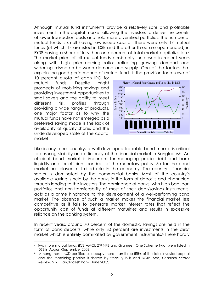Although mutual fund instruments provide a relatively safe and profitable investment in the capital market allowing the investors to derive the benefit of lower transaction costs and hold more diversified portfolios, the number of mutual funds is small having low issued capital. There were only 17 mutual funds (of which 14 are listed in DSE and the other three are open ended) in FY08 having a share of less than one percent of total market capitalization.7 The market price of all mutual funds persistently increased in recent years along with high price-earning ratios reflecting growing demand and widening mismatch between demand and supply. One of the factors that explain the good performance of mutual funds is the provision for reserve of

10 percent quota of each IPO for mutual funds. Despite bright prospects of mobilizing savings and providing investment opportunities to small savers and the ability to meet different risk profiles through providing a wide range of products, one major factor as to why the mutual funds have not emerged as a preferred saving mode is the lack of availability of quality shares and the underdeveloped state of the capital market.



Like in any other country, a well-developed tradable bond market is critical to ensuring stability and efficiency of the financial market in Bangladesh. An efficient bond market is important for managing public debt and bank liquidity and for efficient conduct of the monetary policy. So far the bond market has played a limited role in the economy. The country's financial sector is dominated by the commercial banks. Most of the country's available saving is held by the banks in the form of deposits and channeled through lending to the investors. The dominance of banks, with high bad loan portfolios and non-transferability of most of their debt/savings instruments, acts as a prime hindrance to the development of a well-performing bond market. The absence of such a market makes the financial market less competitive as it fails to generate market interest rates that reflect the opportunity cost of funds at different maturities and results in excessive reliance on the banking system.

In recent years, around 70 percent of the domestic savings are held in the form of bank deposits, while only 30 percent are investments in the debt market which is entirely dominated by government instruments.8 There hardly

<sup>7</sup> Two more mutual funds (ICB AMCL 2nd NRB and Grameen One Scheme Two) were listed in DSE in August/September 2008.

<sup>8</sup> Among these, NSD certificates occupy more than three-fifths of the total invested capital and the remaining portion is shared by treasury bills and BGTB. See, *Financial Sector Review*, 2(2), Bangladesh Bank, June 2007.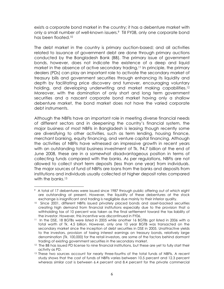exists a corporate bond market in the country; it has a debenture market with only a small number of well-known issuers.<sup>9</sup> Till FY08, only one corporate bond has been floated.10

The debt market in the country is primary auction-based; and all activities related to issuance of government debt are done through primary auctions conducted by the Bangladesh Bank (BB). The primary issue of government bonds, however, does not indicate the existence of a deep and liquid market in the absence of active secondary trading.<sup>11</sup> In principle, the primary dealers (PDs) can play an important role to activate the secondary market of treasury bills and government securities through enhancing its liquidity and depth by facilitating price discovery and turnover, encouraging voluntary holding, and developing underwriting and market making capabilities.<sup>12</sup> Moreover, with the domination of only short and long term government securities and a nascent corporate bond market having only a shallow debenture market, the bond market does not have the varied corporate debt instruments.

Although the NBFIs have an important role in meeting diverse financial needs of different sectors and in deepening the country's financial system, the major business of most NBFIs in Bangladesh is leasing though recently some are diversifying to other activities, such as term lending, housing finance, merchant banking, equity financing, and venture capital financing. Although the activities of NBFIs have witnessed an impressive growth in recent years with an outstanding total business investment of Tk. 94.7 billion at the end of June 2008, these are in a somewhat disadvantageous position in terms of collecting funds compared with the banks. As per regulations, NBFIs are not allowed to collect short term deposits (less than one year) from individuals. The major sources of fund of NBFIs are loans from the banks and deposits from institutions and individuals usually collected at higher deposit rates compared with the banks.<sup>13</sup>

<sup>9</sup> A total of 17 debentures were issued since 1987 through public offering out of which eight are outstanding at present. However, the liquidity of these debentures at the stock exchange is insignificant and trading is negligible due mainly to their inferior quality.

<sup>&</sup>lt;sup>10</sup> Since 2001, different NBFIs issued privately placed bonds and asset-backed securities creating high demand from financial institutions especially due to the provision that a withholding tax of 10 percent was taken as the final settlement toward the tax liability of the investor. However, this incentive was discontinued in FY06.<br><sup>11</sup> In the DSE, 18 BGTBs were listed in 2005 while another 16 BGTBs got listed in 2006 with a

total worth of Tk. 4.5 billion. However, only one 10 year BGTB was transacted on the secondary market since the inception of debt securities in DSE in 2005. Unattractive yields to the investors, provision of taxing interest earnings on treasury bonds, relatively large denomination (Tk. 100,000) for the retail investors, are some of the factors behind dormant trading of existing government securities in the secondary market.<br><sup>12</sup> The BB has issued PD license to nine financial institutions, but these are yet to fully start their

activity as PD.

<sup>&</sup>lt;sup>13</sup> These two sources account for nearly three-fourths of the total funds of NBFIs. A recent study shows that the cost of funds of NBFIs varies between 10.5 percent and 12.3 percent whereas similar cost is between 6.4 percent and 8.4 percent for the private commercial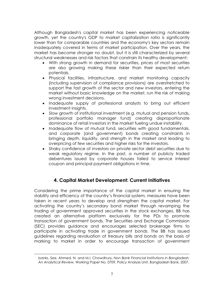Although Bangladesh's capital market has been experiencing noticeable growth, yet the country's GDP to market capitalization ratio is significantly lower than for comparable countries and the economy's key sectors remain inadequately covered in terms of market participation. Over the years, the market has become stronger no doubt, but it is still characterized by several structural weaknesses and risk factors that constrain its healthy development:

- With strong growth in demand for securities, prices of most securities are also growing making these riskier than their expected return potentials.
- Physical facilities, infrastructure, and market monitoring capacity (including supervision of compliance provisions) are overstretched to support the fast growth of the sector and new investors, entering the market without basic knowledge on the market, run the risk of making wrong investment decisions.
- Inadequate supply of professional analysts to bring out efficient investment insights.
- Slow growth of institutional investment (e.g. mutual and pension funds, professional portfolio manager fund) creating disproportionate dominance of retail investors in the market fueling undue instability.
- Inadequate flow of mutual fund, securities with good fundamentals, and corporate (and government) bonds creating constraints in bringing depth, liquidity, and strength in the market and leading to overpricing of few securities and higher risks for the investors.
- Shaky confidence of investors on private sector debt securities due to weak regulatory regime. In the past, a number of publicly traded debentures issued by corporate houses failed to service interest coupon and principal payment obligations in time.

## **4. Capital Market Development: Current Initiatives**

Considering the prime importance of the capital market in ensuring the stability and efficiency of the country's financial system, measures have been taken in recent years to develop and strengthen the capital market. For activating the country's secondary bond market through revamping the trading of government approved securities in the stock exchanges, BB has created an alternative platform exclusively for the PDs to promote transaction of government bonds. The Securities and Exchange Commission (SEC) provides guidance and encourages selected brokerage firms to participate in activating trade in government bonds. The BB has issued guidelines regarding revaluation of treasury bills and bonds on the basis of marking to market in order to encourage transaction of government

banks. See, Ahmed, N. and M.I. Chowdhury, *Non Bank Financial Institutions in Bangladesh: An Analytical Review,* Working Paper No. 0709, Policy Analysis Unit, Bangladesh Bank, 2007.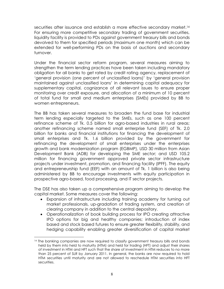securities after issuance and establish a more effective secondary market.<sup>14</sup> For ensuring more competitive secondary trading of government securities, liquidity facility is provided to PDs against government treasury bills and bonds devolved to them for specified periods (maximum one month) which can be extended for well-performing PDs on the basis of auctions and secondary turnover.

Under the financial sector reform program, several measures aiming to strengthen the term lending practices have been taken including mandatory obligation for all banks to get rated by credit rating agency, replacement of 'general provision (one percent of unclassified loans)' by 'general provision maintained against unclassified loans' in determining capital adequacy for supplementary capital, cognizance of all relevant issues to ensure proper monitoring over credit exposure, and allocation of a minimum of 10 percent of total fund for small and medium enterprises (SMEs) provided by BB to women entrepreneurs.

The BB has taken several measures to broaden the fund base for industrial term lending especially targeted to the SMEs, such as one 100 percent refinance scheme of Tk. 0.5 billion for agro-based industries in rural areas; another refinancing scheme named small enterprise fund (SEF) of Tk. 2.0 billion for banks and financial institutions for financing the development of small enterprises and Tk. 1.6 billion provided by the government for refinancing the development of small enterprises under the enterprises growth and bank modernization program (EGBMP), USD 30 million from Asian Development Bank (ADB) for developing the SME sector; and USD 105.2 million for financing government approved private sector infrastructure projects under investment, promotion, and financing facility (IPFF). The equity and entrepreneurship fund (EEF) with an amount of Tk. 1 billion is also being administered by BB to encourage investments with equity participation in prospective agro-based, food processing, and IT sector projects.

The DSE has also taken up a comprehensive program aiming to develop the capital market. Some measures cover the following:

- Expansion of infrastructure including training academy for turning out market professionals, up-gradation of trading system, and creation of clearing company in addition to the central depository.
- Operationalization of book building process for IPO creating attractive IPO options for big and healthy companies; introduction of index based and stock based futures to ensure greater flexibility, stability, and hedging capability enabling greater diversification of capital market

<sup>14</sup> The banking companies are now required to classify government treasury bills and bonds held by them into held to maturity (HTM) and held for trading (HFT) and adjust their shares of investment in HTM and HFT such that the share of investment in HTM reduces to no more than 25 percent of SLR by January 2011. In general, the banks are now required to hold HTM securities until maturity and are not allowed to reschedule HTM securities into HFT securities.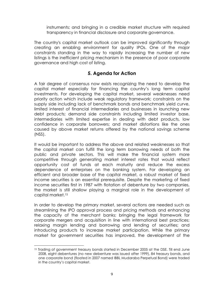instruments; and bringing in a credible market structure with required transparency in financial disclosure and corporate governance.

The country's capital market outlook can be improved significantly through creating an enabling environment for quality IPOs. One of the major constraints standing in the way to rapidly increasing the number of new listings is the inefficient pricing mechanism in the presence of poor corporate governance and high cost of listing.

## **5. Agenda for Action**

A fair degree of consensus now exists recognizing the need to develop the capital market especially for financing the country's long term capital investments. For developing the capital market, several weaknesses need priority action which include weak regulatory framework; constraints on the supply side including lack of benchmark bonds and benchmark yield curve, limited interest of financial intermediaries and businesses in launching new debt products; demand side constraints including limited investor base, intermediaries with limited expertise in dealing with debt products, low confidence in corporate borrowers; and market distortions like the ones caused by above market returns offered by the national savings scheme (NSS).

It would be important to address the above and related weaknesses so that the capital market can fulfill the long term borrowing needs of both the public and private sectors. This will make the financial system more competitive through generating market interest rates that would reflect opportunity cost of funds at each maturity and reduce the excess dependence of enterprises on the banking system. For developing an efficient and broader base of the capital market, a robust market of fixed income securities is an essential prerequisite. Despite the marketing of fixed income securities first in 1987 with flotation of debenture by two companies, the market is still shallow playing a marginal role in the development of capital market.15

In order to develop the primary market, several actions are needed such as streamlining the IPO approval process and pricing methods and enhancing the capacity of the merchant banks; bringing the legal framework for corporate mergers and acquisition in line with international best practices; relaxing margin lending and borrowing and lending of securities; and introducing products to increase market participation. While the primary market for government securities has improved, the development of the

<sup>&</sup>lt;sup>15</sup> Trading of government treasury bonds started in December 2005 at the DSE. Till end June 2008, eight debentures (no new debenture was issued after 1999), 84 treasury bonds, and one corporate bond (floated in 2007 named IBBL Mudaraba Perpetual Bond) were traded in the country's capital market.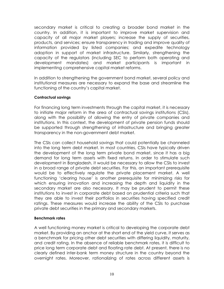secondary market is critical to creating a broader bond market in the country. In addition, it is important to improve market supervision and capacity of all major market players; increase the supply of securities, products, and services; ensure transparency in trading and improve quality of information provided by listed companies; and expedite technology adoption in support of market infrastructure. Similarly, strengthening the capacity of the regulators (including SEC to perform both operating and development mandates) and market participants is important in implementing comprehensive capital market reforms.

In addition to strengthening the government bond market, several policy and institutional measures are necessary to expand the base and streamline the functioning of the country's capital market.

#### **Contractual savings**

For financing long term investments through the capital market, it is necessary to initiate major reform in the area of contractual savings institutions (CSIs), along with the possibility of allowing the entry of private companies and institutions. In this context, the development of private pension funds should be supported through strengthening of infrastructure and bringing greater transparency in the non-government debt market.

The CSIs can collect household savings that could potentially be channeled into the long term debt market. In most countries, CSIs have typically driven the development of the long term private bond market, since it has a big demand for long term assets with fixed returns. In order to stimulate such development in Bangladesh, it would be necessary to allow the CSIs to invest in a broad range of private debt securities. For this, an important prerequisite would be to effectively regulate the private placement market. A well functioning 'clearing house' is another prerequisite for minimizing risks for which ensuring innovation and increasing the depth and liquidity in the secondary market are also necessary. It may be prudent to permit these institutions to invest in corporate debt based on prudential criteria such that they are able to invest their portfolios in securities having specified credit ratings. These measures would increase the ability of the CSIs to purchase private debt securities in the primary and secondary markets.

#### **Benchmark rates**

A well functioning money market is critical to developing the corporate debt market. By providing an anchor at the short end of the yield curve, it serves as a benchmark for pricing other debt securities with differing liquidity, maturity, and credit rating. In the absence of reliable benchmark rates, it is difficult to price long term corporate debt and floating rate debt. At present, there is no clearly defined inter-bank term money structure in the country beyond the overnight rates. Moreover, rationalizing of rates across different assets is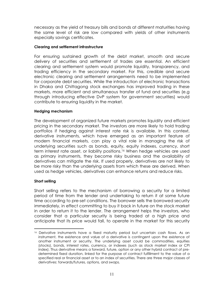necessary as the yield of treasury bills and bonds at different maturities having the same level of risk are low compared with yields of other instruments especially savings certificates.

#### **Clearing and settlement infrastructure**

For ensuring sustained growth of the debt market, smooth and secure delivery of securities and settlement of trades are essential. An efficient clearing and settlement system would promote liquidity, transparency, and trading efficiency in the secondary market. For this, credible and secure electronic clearing and settlement arrangements need to be implemented for corporate debt securities. While the introduction of electronic transactions in Dhaka and Chittagong stock exchanges has improved trading in these markets, more efficient and simultaneous transfer of fund and securities (e.g through introducing effective DvP system for government securities) would contribute to ensuring liquidity in the market.

#### **Hedging mechanism**

The development of organized future markets promotes liquidity and efficient pricing in the secondary market. The investors are more likely to hold trading portfolios if hedging against interest rate risk is available. In this context, derivative instruments, which have emerged as an important feature of modern financial markets, can play a vital role in managing the risk of underlying securities such as bonds, equity, equity indexes, currency, short term interest rate asset, or liability positions.16 When hedge vehicles are used as primary instruments, they become risky business and the availability of derivatives can mitigate the risk. If used properly, derivatives are not likely to be more risky than the underlying assets from which these are derived. When used as hedge vehicles, derivatives can enhance returns and reduce risks.

#### **Short selling**

Short selling refers to the mechanism of borrowing a security for a limited period of time from the lender and undertaking to return it at some future time according to pre-set conditions. The borrower sells the borrowed security immediately, in effect committing to buy it back in future on the stock market in order to return it to the lender. The arrangement helps the investors, who consider that a particular security is being traded at a high price and anticipate that its price would fall, to operate in the market for this security

<sup>&</sup>lt;sup>16</sup> Derivative instruments have a fixed maturity period but uncertain cash flows. As an instrument, the existence and value of a derivative is contingent upon the existence of another instrument or security. The underlying asset could be commodities, equities (stocks), bonds, interest rates, currency, or indexes (such as stock market index or CPI index). Thus derivative means a forward, future, option or any other hybrid contract of predetermined fixed duration, linked for the purpose of contract fulfillment to the value of a specified real or financial asset or to an index of securities. There are three major classes of derivatives: forwards/futures, options, and swaps.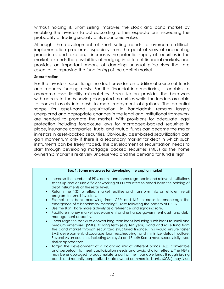without holding it. Short selling improves the stock and bond market by enabling the investors to act according to their expectations, increasing the probability of trading security at its economic value.

Although the development of short selling needs to overcome difficult implementation problems, especially from the point of view of accounting procedures and taxation, it increases the potential supply of securities in the market, extends the possibilities of hedging in different financial markets, and provides an important means of damping unusual price rises that are essential to improving the functioning of the capital market.

#### **Securitization**

For the investors, securitizing the debt provides an additional source of funds and reduces funding costs. For the financial intermediaries, it enables to overcome asset-liability mismatches. Securitization provides the borrowers with access to funds having elongated maturities while the lenders are able to convert assets into cash to meet repayment obligations. The potential scope for asset-based securitization in Bangladesh remains largely unexplored and appropriate changes in the legal and institutional framework are needed to promote the market. With provisions for adequate legal protection including foreclosure laws for mortgaged-backed securities in place, insurance companies, trusts, and mutual funds can become the major investors in asset-backed securities. Obviously, asset-based securitization can gain momentum only if there is a secondary market for debt in which such instruments can be freely traded. The development of securitization needs to start through developing mortgage backed securities (MBS) as the home ownership market is relatively underserved and the demand for fund is high.

#### **Box 1: Some measures for developing the capital market**

- Increase the number of PDs, permit and encourage banks and relevant institutions to set up and ensure efficient working of PD counters to broad base the holding of debt instruments at the retail level.
- Reform the NSS to reflect market realities and transform into an efficient retail program for small investors.
- Exempt inter-bank borrowing from CRR and SLR in order to encourage the emergence of a benchmark meaningful rate following the pattern of LIBOR.
- Use the Bank Rate more actively as a reference and signaling rate.
- x Facilitate money market development and enhance government cash and debt management capacity.
- **Encourage the banks to convert long term loans including such loans to small and** medium enterprises (SMEs) to long term (e.g. ten year) bond and raise fund from the bond market through securitized structured finance. This would ensure faster SME development, discourage loan rescheduling, and minimize default culture. Several Asian countries including Malaysia and South Korea have successfully used similar approaches.
- Target the development of a balanced mix of different bonds (e.g. convertible and perpetual) to meet capitalization needs and avoid dilution effects. The NBFIs may be encouraged to accumulate a part of their loanable funds through issuing bonds and recently corporatized state owned commercial banks (SCBs) may issue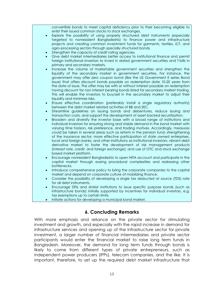convertible bonds to meet capital deficiency prior to their becoming eligible to enlist their issued common stocks to stock exchanges.

- x Explore the possibility of using properly structured debt instruments (especially targeted to nonresident Bangladeshis) to finance power and infrastructure projects and creating common investment funds for garments, textiles, ICT, and agro-processing sectors through specially structured bonds.
- Strengthen the capacity of credit rating agencies.
- x Give debt market intermediaries better access to institutional finance and permit foreign institutional investors to invest in dated government securities and T-bills in primary and secondary markets.
- Increase the volume of marketable government securities and strengthen the liquidity of the secondary market in government securities. For instance, the government may offer zero coupon bond (like the US Government E series Bond Issue) that offers discount bonds payable on redemption date 10-20 years from the date of issue. The offer may be with or without interest payable on redemption having discount for non interest bearing bonds listed for secondary market trading. This will enable the investors to buy/sell in the secondary market to adjust their liquidity and minimize risks.
- Ensure effective coordination (preferably install a single regulatory authority) between the debt market related activities of BB and SEC.
- x Streamline guidelines on issuing bonds and debentures, reduce issuing and transaction costs, and support the development of asset backed securitization.
- Broaden and diversify the investor base with a broad range of institutions and individual investors for ensuring strong and stable demand in the bond market with varying time horizon, risk preference, and trading motives. Accordingly, measures could be taken in several areas such as reform in the pension fund; strengthening of the insurance sector; more effective participation of state owned enterprises, local and foreign banks, and other institutions as institutional investors; vibrant debt derivative market to foster the development of risk management products (interest rate, credit, and foreign exchange); and use of OTC and stock exchange based market platform.
- Encourage nonresident Bangladeshis to open NITA account and participate in the capital market through easing procedural complexities and redressing other bottlenecks.
- Introduce comprehensive policy to bring the corporate companies to the capital market and depend on corporate culture of mobilizing finance.
- Consider the possibility of developing a single tax deducted at source (TDS) rate for all debt instruments.
- x Encourage DFIs and similar institutions to issue specific purpose bonds (such as infrastructure bonds) initially supported by incentives for individual investors, e.g. tax exemptions up to certain limits.
- Initiate actions for developing a municipal bond market.

## **6. Concluding Remarks**

With more emphasis and reliance on the private sector for stimulating investment and growth, and especially with the rapid increase in demand for infrastructure services and opening up of the infrastructure sector for private investment, a larger number of financial intermediaries and private sector participants would enter the financial market to raise long term funds in Bangladesh. Moreover, the demand for long term funds through bonds is likely to come from different types of private entrepreneurs, such as independent power producers (IPPs), telecom companies, and the like. It is important, therefore, to set up the required debt market infrastructure that